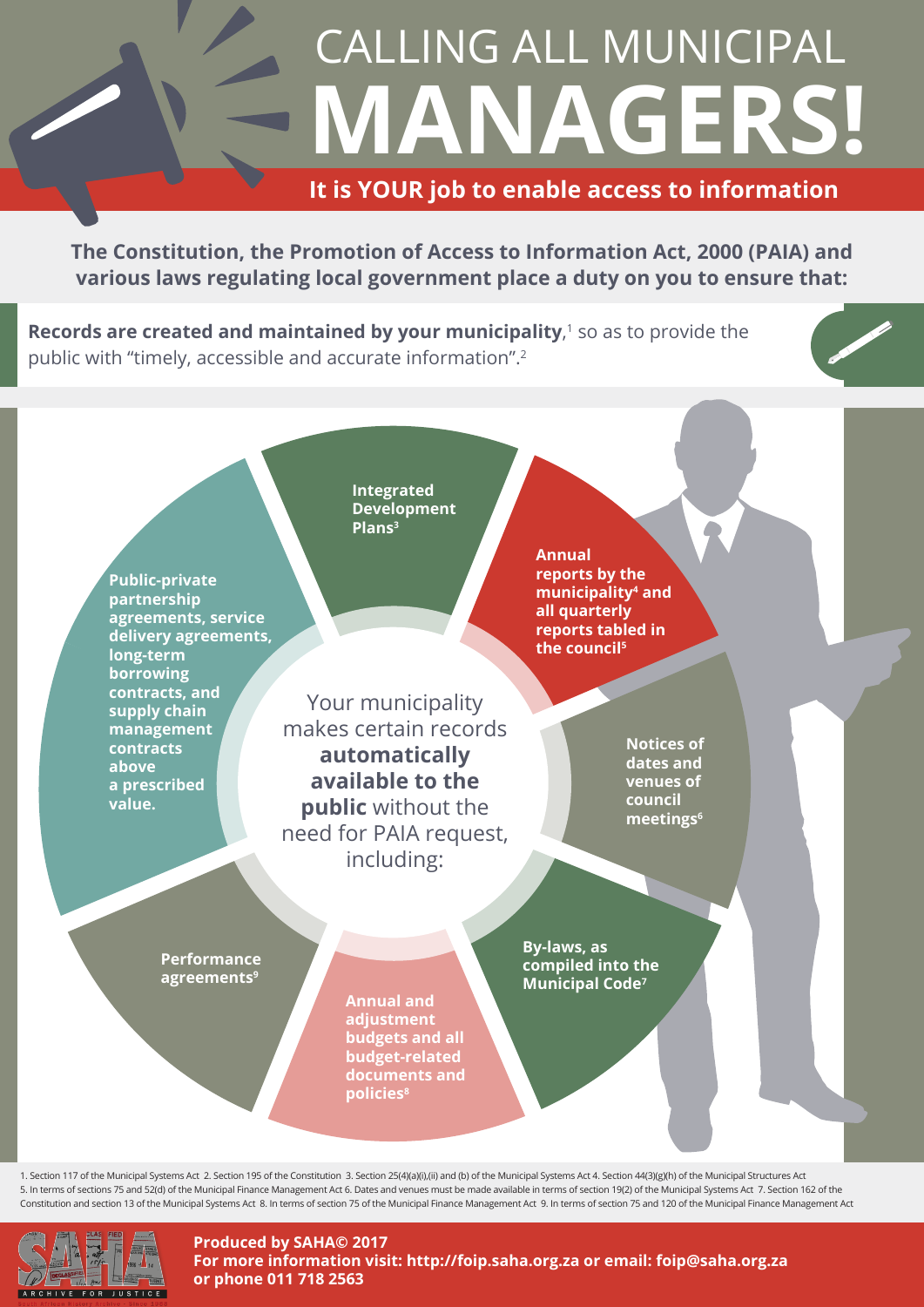## **MANAGERS!** CALLING ALL MUNICIPAL

## **It is YOUR job to enable access to information**

**The Constitution, the Promotion of Access to Information Act, 2000 (PAIA) and various laws regulating local government place a duty on you to ensure that:**

**Records are created and maintained by your municipality**,<sup>1</sup> so as to provide the public with "timely, accessible and accurate information".2



1. Section 117 of the Municipal Systems Act 2. Section 195 of the Constitution 3. Section 25(4)(a)(i),(ii) and (b) of the Municipal Systems Act 4. Section 44(3)(g)(h) of the Municipal Structures Act 5. In terms of sections 75 and 52(d) of the Municipal Finance Management Act 6. Dates and venues must be made available in terms of section 19(2) of the Municipal Systems Act 7. Section 162 of the Constitution and section 13 of the Municipal Systems Act 8. In terms of section 75 of the Municipal Finance Management Act 9. In terms of section 75 and 120 of the Municipal Finance Management Act



**Produced by SAHA© 2017 For more information visit: http://foip.saha.org.za or email: foip@saha.org.za or phone 011 718 2563**